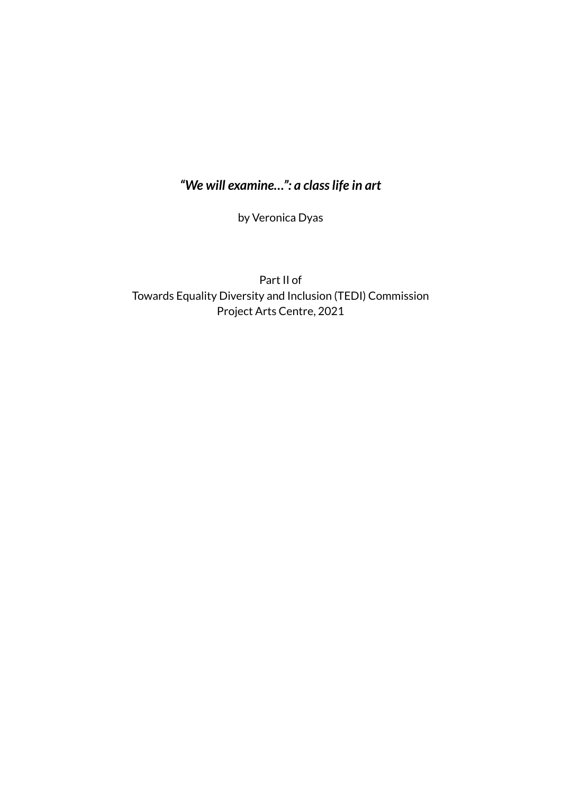## *"We will examine…": a classlife in art*

by Veronica Dyas

Part II of Towards Equality Diversity and Inclusion (TEDI) Commission Project Arts Centre, 2021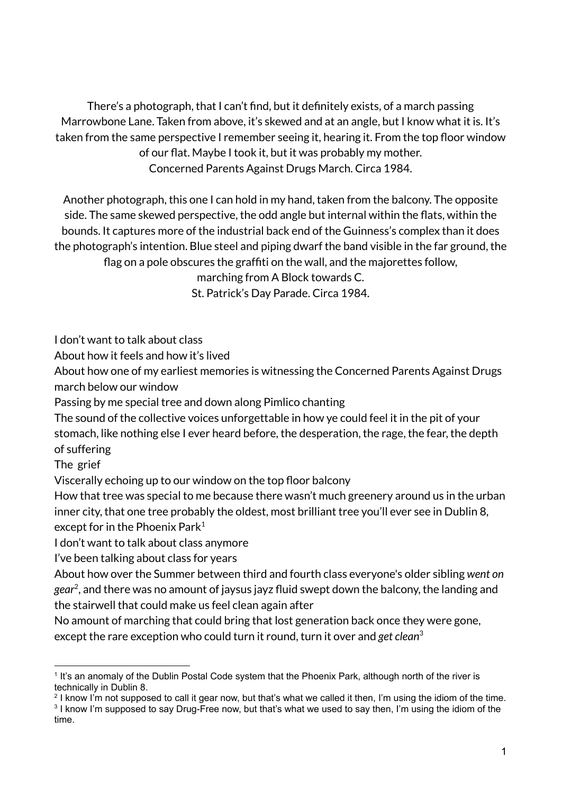There's a photograph, that I can't find, but it definitely exists, of a march passing Marrowbone Lane. Taken from above, it's skewed and at an angle, but I know what it is. It's taken from the same perspective I remember seeing it, hearing it. From the top floor window of our flat. Maybe I took it, but it was probably my mother. Concerned Parents Against Drugs March. Circa 1984.

Another photograph, this one I can hold in my hand, taken from the balcony. The opposite side. The same skewed perspective, the odd angle but internal within the flats, within the bounds. It captures more of the industrial back end of the Guinness's complex than it does the photograph's intention. Blue steel and piping dwarf the band visible in the far ground, the flag on a pole obscures the graffiti on the wall, and the majorettes follow,

marching from A Block towards C. St. Patrick's Day Parade. Circa 1984.

I don't want to talk about class

About how it feels and how it's lived

About how one of my earliest memories is witnessing the Concerned Parents Against Drugs march below our window

Passing by me special tree and down along Pimlico chanting

The sound of the collective voices unforgettable in how ye could feel it in the pit of your stomach, like nothing else I ever heard before, the desperation, the rage, the fear, the depth of suffering

The grief

Viscerally echoing up to our window on the top floor balcony

How that tree was special to me because there wasn't much greenery around us in the urban inner city, that one tree probably the oldest, most brilliant tree you'll ever see in Dublin 8, except for in the Phoenix Park $^{\rm 1}$ 

I don't want to talk about class anymore

I've been talking about class for years

About how over the Summer between third and fourth class everyone's older sibling *went on gear* 2 , and there was no amount of jaysus jayz fluid swept down the balcony, the landing and the stairwell that could make us feel clean again after

No amount of marching that could bring that lost generation back once they were gone, except the rare exception who could turn it round, turn it over and *get clean* 3

<sup>&</sup>lt;sup>1</sup> It's an anomaly of the Dublin Postal Code system that the Phoenix Park, although north of the river is technically in Dublin 8.

<sup>3</sup> I know I'm supposed to say Drug-Free now, but that's what we used to say then, I'm using the idiom of the time. <sup>2</sup> I know I'm not supposed to call it gear now, but that's what we called it then, I'm using the idiom of the time.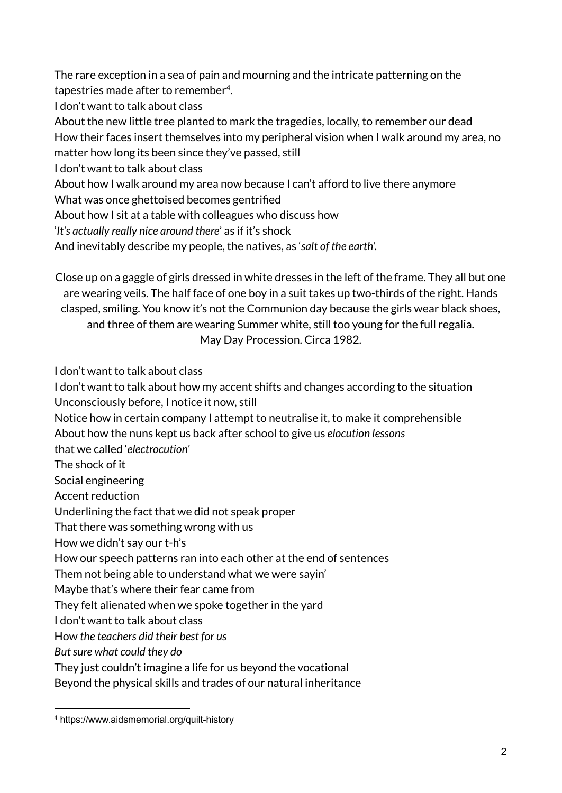The rare exception in a sea of pain and mourning and the intricate patterning on the tapestries made after to remember<sup>4</sup>.

I don't want to talk about class

About the new little tree planted to mark the tragedies, locally, to remember our dead How their faces insert themselves into my peripheral vision when I walk around my area, no matter how long its been since they've passed, still

I don't want to talk about class

About how I walk around my area now because I can't afford to live there anymore

What was once ghettoised becomes gentrified

About how I sit at a table with colleagues who discuss how

'*It's actually really nice around there*' as if it's shock

And inevitably describe my people, the natives, as '*salt of the earth*'.

Close up on a gaggle of girls dressed in white dresses in the left of the frame. They all but one are wearing veils. The half face of one boy in a suit takes up two-thirds of the right. Hands clasped, smiling. You know it's not the Communion day because the girls wear black shoes, and three of them are wearing Summer white, still too young for the full regalia. May Day Procession. Circa 1982.

I don't want to talk about class

I don't want to talk about how my accent shifts and changes according to the situation Unconsciously before, I notice it now, still

Notice how in certain company I attempt to neutralise it, to make it comprehensible

About how the nuns kept us back after school to give us *elocution lessons*

that we called '*electrocution'*

The shock of it

Social engineering

Accent reduction

Underlining the fact that we did not speak proper

That there was something wrong with us

How we didn't say our t-h's

How our speech patterns ran into each other at the end of sentences

Them not being able to understand what we were sayin'

Maybe that's where their fear came from

They felt alienated when we spoke together in the yard

I don't want to talk about class

How *the teachers did their best for us*

*Butsure what could they do*

They just couldn't imagine a life for us beyond the vocational

Beyond the physical skills and trades of our natural inheritance

<sup>4</sup> https://www.aidsmemorial.org/quilt-history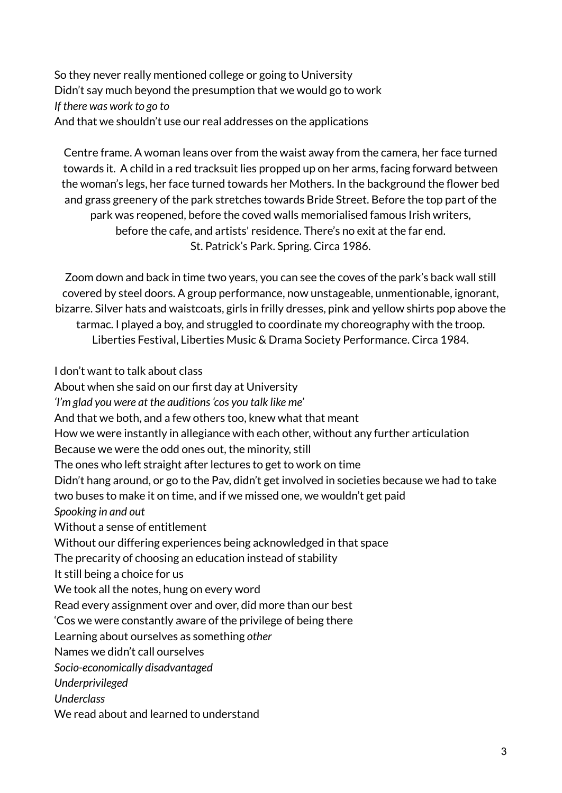So they never really mentioned college or going to University Didn't say much beyond the presumption that we would go to work *If there was work to go to* And that we shouldn't use our real addresses on the applications

Centre frame. A woman leans over from the waist away from the camera, her face turned towards it. A child in a red tracksuit lies propped up on her arms, facing forward between the woman's legs, her face turned towards her Mothers. In the background the flower bed and grass greenery of the park stretches towards Bride Street. Before the top part of the park was reopened, before the coved walls memorialised famous Irish writers, before the cafe, and artists' residence. There's no exit at the far end. St. Patrick's Park. Spring. Circa 1986.

Zoom down and back in time two years, you can see the coves of the park's back wall still covered by steel doors. A group performance, now unstageable, unmentionable, ignorant, bizarre. Silver hats and waistcoats, girls in frilly dresses, pink and yellow shirts pop above the tarmac. I played a boy, and struggled to coordinate my choreography with the troop. Liberties Festival, Liberties Music & Drama Society Performance. Circa 1984.

I don't want to talk about class

About when she said on our first day at University *'I'm glad you were at the auditions'cos you talk like me'* And that we both, and a few others too, knew what that meant How we were instantly in allegiance with each other, without any further articulation Because we were the odd ones out, the minority, still The ones who left straight after lectures to get to work on time Didn't hang around, or go to the Pav, didn't get involved in societies because we had to take two buses to make it on time, and if we missed one, we wouldn't get paid *Spooking in and out* Without a sense of entitlement Without our differing experiences being acknowledged in that space The precarity of choosing an education instead of stability It still being a choice for us We took all the notes, hung on every word Read every assignment over and over, did more than our best 'Cos we were constantly aware of the privilege of being there Learning about ourselves as something *other* Names we didn't call ourselves *Socio-economically disadvantaged Underprivileged Underclass* We read about and learned to understand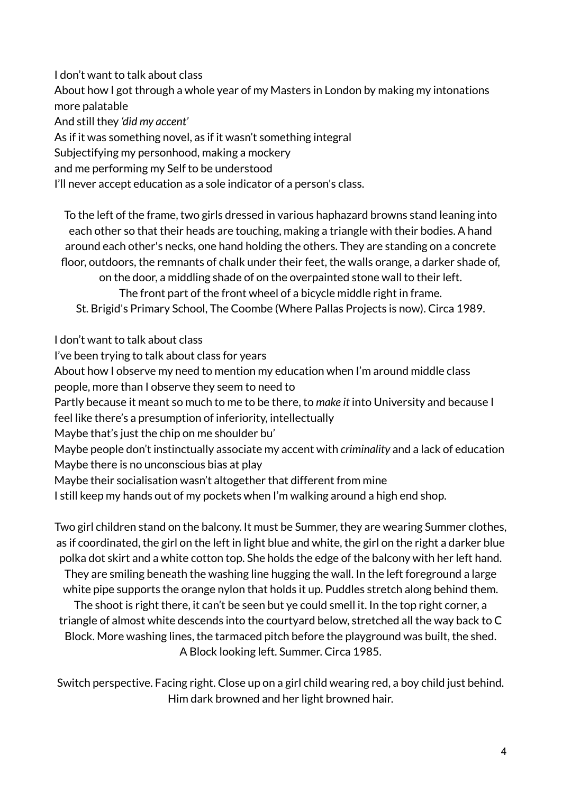I don't want to talk about class

About how I got through a whole year of my Masters in London by making my intonations more palatable

And still they *'did my accent'*

As if it was something novel, as if it wasn't something integral

Subjectifying my personhood, making a mockery

and me performing my Self to be understood

I'll never accept education as a sole indicator of a person's class.

To the left of the frame, two girls dressed in various haphazard browns stand leaning into each other so that their heads are touching, making a triangle with their bodies. A hand around each other's necks, one hand holding the others. They are standing on a concrete floor, outdoors, the remnants of chalk under their feet, the walls orange, a darker shade of, on the door, a middling shade of on the overpainted stone wall to their left. The front part of the front wheel of a bicycle middle right in frame. St. Brigid's Primary School, The Coombe (Where Pallas Projects is now). Circa 1989.

I don't want to talk about class

I've been trying to talk about class for years

About how I observe my need to mention my education when I'm around middle class people, more than I observe they seem to need to

Partly because it meant so much to me to be there, to *make it* into University and because I

feel like there's a presumption of inferiority, intellectually

Maybe that's just the chip on me shoulder bu'

Maybe people don't instinctually associate my accent with *criminality* and a lack of education Maybe there is no unconscious bias at play

Maybe their socialisation wasn't altogether that different from mine

I still keep my hands out of my pockets when I'm walking around a high end shop.

Two girl children stand on the balcony. It must be Summer, they are wearing Summer clothes, as if coordinated, the girl on the left in light blue and white, the girl on the right a darker blue polka dot skirt and a white cotton top. She holds the edge of the balcony with her left hand. They are smiling beneath the washing line hugging the wall. In the left foreground a large white pipe supports the orange nylon that holds it up. Puddles stretch along behind them.

The shoot is right there, it can't be seen but ye could smell it. In the top right corner, a triangle of almost white descends into the courtyard below, stretched all the way back to C Block. More washing lines, the tarmaced pitch before the playground was built, the shed. A Block looking left. Summer. Circa 1985.

Switch perspective. Facing right. Close up on a girl child wearing red, a boy child just behind. Him dark browned and her light browned hair.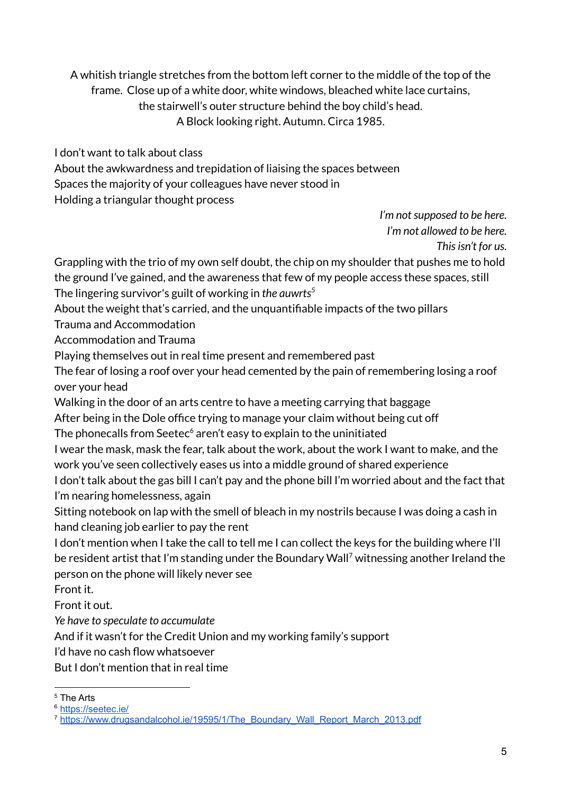A whitish triangle stretches from the bottom left corner to the middle of the top of the frame. Close up of a white door, white windows, bleached white lace curtains, the stairwell's outer structure behind the boy child's head. A Block looking right. Autumn. Circa 1985.

I don't want to talk about class

About the awkwardness and trepidation of liaising the spaces between Spaces the majority of your colleagues have never stood in Holding a triangular thought process

> *I'm* not supposed to be here. *I'm not allowed to be here. Thisisn't for us.*

Grappling with the trio of my own self doubt, the chip on my shoulder that pushes me to hold the ground I've gained, and the awareness that few of my people access these spaces, still The lingering survivor's guilt of working in *the auwrts 5*

About the weight that's carried, and the unquantifiable impacts of the two pillars

Trauma and Accommodation

Accommodation and Trauma

Playing themselves out in real time present and remembered past

The fear of losing a roof over your head cemented by the pain of remembering losing a roof over your head

Walking in the door of an arts centre to have a meeting carrying that baggage

After being in the Dole office trying to manage your claim without being cut off

The phonecalls from Seetec<sup>6</sup> aren't easy to explain to the uninitiated

I wear the mask, mask the fear, talk about the work, about the work I want to make, and the work you've seen collectively eases us into a middle ground of shared experience

I don't talk about the gas bill I can't pay and the phone bill I'm worried about and the fact that I'm nearing homelessness, again

Sitting notebook on lap with the smell of bleach in my nostrils because I was doing a cash in hand cleaning job earlier to pay the rent

I don't mention when I take the call to tell me I can collect the keys for the building where I'll be resident artist that I'm standing under the Boundary Wall <sup>7</sup> witnessing another Ireland the person on the phone will likely never see

Front it.

Front it out.

*Ye have to speculate to accumulate*

And if it wasn't for the Credit Union and my working family's support

I'd have no cash flow whatsoever

But I don't mention that in real time

<sup>5</sup> The Arts

<sup>&</sup>lt;sup>6</sup> <https://seetec.ie/>

<sup>&</sup>lt;sup>7</sup> [https://www.drugsandalcohol.ie/19595/1/The\\_Boundary\\_Wall\\_Report\\_March\\_2013.pdf](https://www.drugsandalcohol.ie/19595/1/The_Boundary_Wall_Report_March_2013.pdf)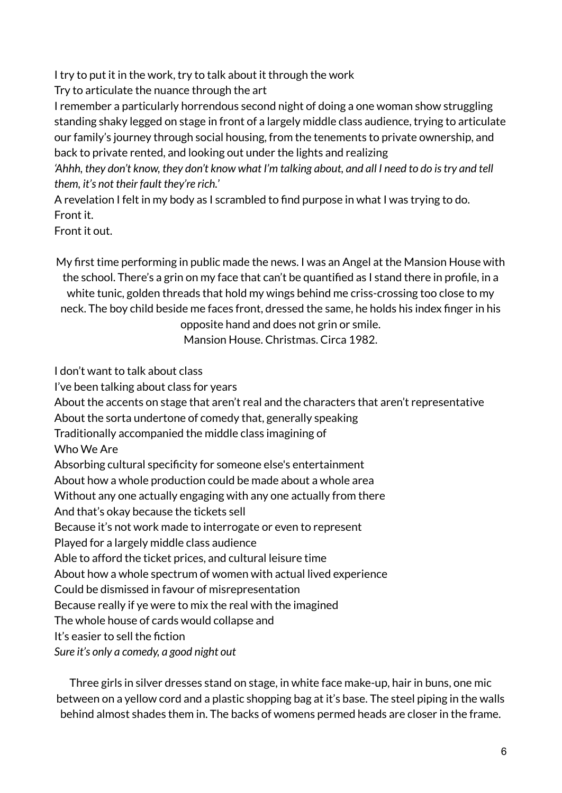I try to put it in the work, try to talk about it through the work

Try to articulate the nuance through the art

I remember a particularly horrendous second night of doing a one woman show struggling standing shaky legged on stage in front of a largely middle class audience, trying to articulate our family's journey through social housing, from the tenements to private ownership, and back to private rented, and looking out under the lights and realizing

'Ahhh, they don't know, they don't know what I'm talking about, and all I need to do is try and tell *them, it's not their fault they're rich.*'

A revelation I felt in my body as I scrambled to find purpose in what I was trying to do. Front it.

Front it out.

My first time performing in public made the news. I was an Angel at the Mansion House with the school. There's a grin on my face that can't be quantified as I stand there in profile, in a white tunic, golden threads that hold my wings behind me criss-crossing too close to my neck. The boy child beside me faces front, dressed the same, he holds his index finger in his

opposite hand and does not grin or smile.

Mansion House. Christmas. Circa 1982.

I don't want to talk about class

I've been talking about class for years

About the accents on stage that aren't real and the characters that aren't representative

About the sorta undertone of comedy that, generally speaking

Traditionally accompanied the middle class imagining of

Who We Are

Absorbing cultural specificity for someone else's entertainment

About how a whole production could be made about a whole area

Without any one actually engaging with any one actually from there

And that's okay because the tickets sell

Because it's not work made to interrogate or even to represent

Played for a largely middle class audience

Able to afford the ticket prices, and cultural leisure time

About how a whole spectrum of women with actual lived experience

Could be dismissed in favour of misrepresentation

Because really if ye were to mix the real with the imagined

The whole house of cards would collapse and

It's easier to sell the fiction

*Sure it's only a comedy, a good night out*

Three girls in silver dresses stand on stage, in white face make-up, hair in buns, one mic between on a yellow cord and a plastic shopping bag at it's base. The steel piping in the walls behind almost shades them in. The backs of womens permed heads are closer in the frame.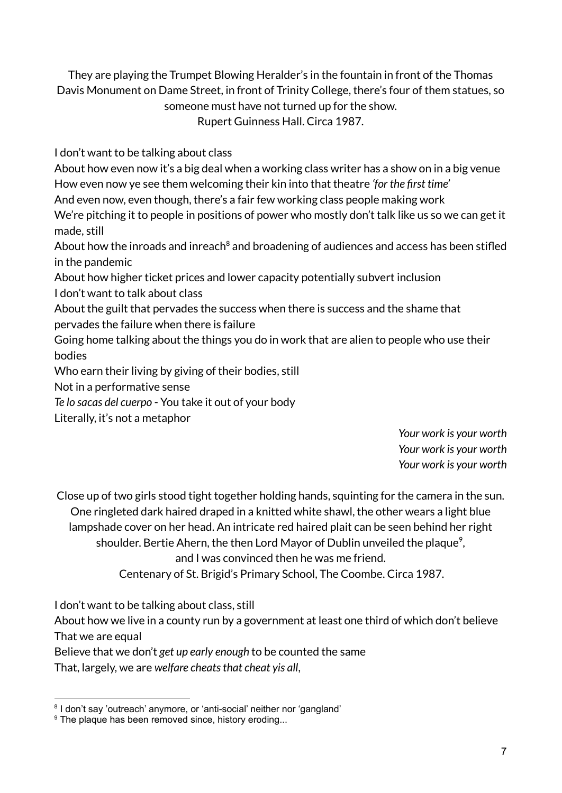They are playing the Trumpet Blowing Heralder's in the fountain in front of the Thomas Davis Monument on Dame Street, in front of Trinity College, there's four of them statues, so someone must have not turned up for the show. Rupert Guinness Hall. Circa 1987.

I don't want to be talking about class

About how even now it's a big deal when a working class writer has a show on in a big venue How even now ye see them welcoming their kin into that theatre *'for the first time'*

And even now, even though, there's a fair few working class people making work

We're pitching it to people in positions of power who mostly don't talk like us so we can get it made, still

About how the inroads and inreach<sup>8</sup> and broadening of audiences and access has been stifled in the pandemic

About how higher ticket prices and lower capacity potentially subvert inclusion I don't want to talk about class

About the guilt that pervades the success when there is success and the shame that pervades the failure when there is failure

Going home talking about the things you do in work that are alien to people who use their bodies

Who earn their living by giving of their bodies, still

Not in a performative sense

*Te lo sacas del cuerpo* - You take it out of your body

Literally, it's not a metaphor

*Your work is your worth Your work is your worth Your work is your worth*

Close up of two girls stood tight together holding hands, squinting for the camera in the sun. One ringleted dark haired draped in a knitted white shawl, the other wears a light blue lampshade cover on her head. An intricate red haired plait can be seen behind her right shoulder. Bertie Ahern, the then Lord Mayor of Dublin unveiled the plaque $^{\circ}$ , and I was convinced then he was me friend.

Centenary of St. Brigid's Primary School, The Coombe. Circa 1987.

I don't want to be talking about class, still

About how we live in a county run by a government at least one third of which don't believe That we are equal

Believe that we don't *get up early enough* to be counted the same

That, largely, we are *welfare cheatsthat cheat yis all*,

<sup>&</sup>lt;sup>8</sup> I don't say 'outreach' anymore, or 'anti-social' neither nor 'gangland'

<sup>&</sup>lt;sup>9</sup> The plaque has been removed since, history eroding...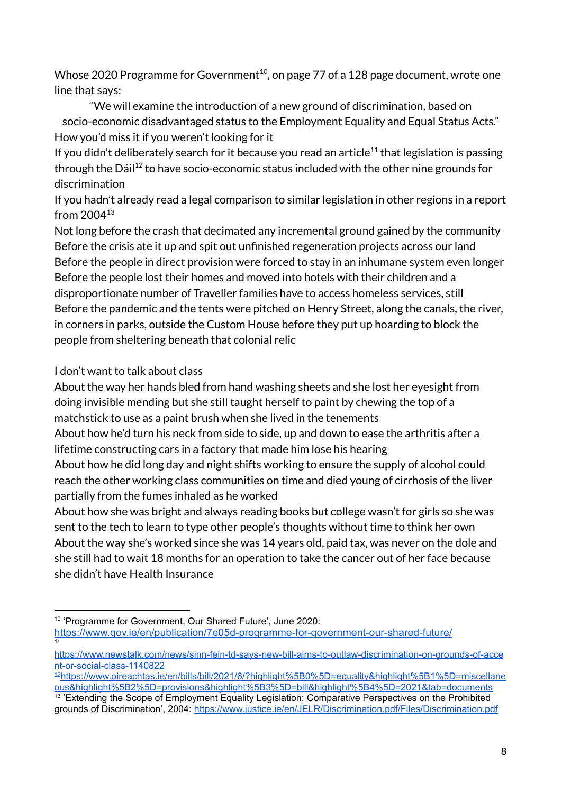Whose 2020 Programme for Government $^{\rm 10}$ , on page 77 of a 128 page document, wrote one line that says:

"We will examine the introduction of a new ground of discrimination, based on socio-economic disadvantaged status to the Employment Equality and Equal Status Acts." How you'd miss it if you weren't looking for it

If you didn't deliberately search for it because you read an article $^{11}$  that legislation is passing through the Dáil<sup>12</sup> to have socio-economic status included with the other nine grounds for discrimination

If you hadn't already read a legal comparison to similar legislation in other regions in a report from 2004 13

Not long before the crash that decimated any incremental ground gained by the community Before the crisis ate it up and spit out unfinished regeneration projects across our land Before the people in direct provision were forced to stay in an inhumane system even longer Before the people lost their homes and moved into hotels with their children and a disproportionate number of Traveller families have to access homeless services, still Before the pandemic and the tents were pitched on Henry Street, along the canals, the river, in corners in parks, outside the Custom House before they put up hoarding to block the people from sheltering beneath that colonial relic

## I don't want to talk about class

About the way her hands bled from hand washing sheets and she lost her eyesight from doing invisible mending but she still taught herself to paint by chewing the top of a matchstick to use as a paint brush when she lived in the tenements

About how he'd turn his neck from side to side, up and down to ease the arthritis after a lifetime constructing cars in a factory that made him lose his hearing

About how he did long day and night shifts working to ensure the supply of alcohol could reach the other working class communities on time and died young of cirrhosis of the liver partially from the fumes inhaled as he worked

About how she was bright and always reading books but college wasn't for girls so she was sent to the tech to learn to type other people's thoughts without time to think her own About the way she's worked since she was 14 years old, paid tax, was never on the dole and she still had to wait 18 months for an operation to take the cancer out of her face because she didn't have Health Insurance

<sup>11</sup> 10 'Programme for Government, Our Shared Future', June 2020: <https://www.gov.ie/en/publication/7e05d-programme-for-government-our-shared-future/>

[https://www.newstalk.com/news/sinn-fein-td-says-new-bill-aims-to-outlaw-discrimination-on-grounds-of-acce](https://www.newstalk.com/news/sinn-fein-td-says-new-bill-aims-to-outlaw-discrimination-on-grounds-of-accent-or-social-class-1140822) [nt-or-social-class-1140822](https://www.newstalk.com/news/sinn-fein-td-says-new-bill-aims-to-outlaw-discrimination-on-grounds-of-accent-or-social-class-1140822)

<sup>12</sup>[https://www.oireachtas.ie/en/bills/bill/2021/6/?highlight%5B0%5D=equality&highlight%5B1%5D=miscellane](https://www.oireachtas.ie/en/bills/bill/2021/6/?highlight%5B0%5D=equality&highlight%5B1%5D=miscellaneous&highlight%5B2%5D=provisions&highlight%5B3%5D=bill&highlight%5B4%5D=2021&tab=documents) [ous&highlight%5B2%5D=provisions&highlight%5B3%5D=bill&highlight%5B4%5D=2021&tab=documents](https://www.oireachtas.ie/en/bills/bill/2021/6/?highlight%5B0%5D=equality&highlight%5B1%5D=miscellaneous&highlight%5B2%5D=provisions&highlight%5B3%5D=bill&highlight%5B4%5D=2021&tab=documents)

<sup>&</sup>lt;sup>13</sup> 'Extending the Scope of Employment Equality Legislation: Comparative Perspectives on the Prohibited grounds of Discrimination', 2004: <https://www.justice.ie/en/JELR/Discrimination.pdf/Files/Discrimination.pdf>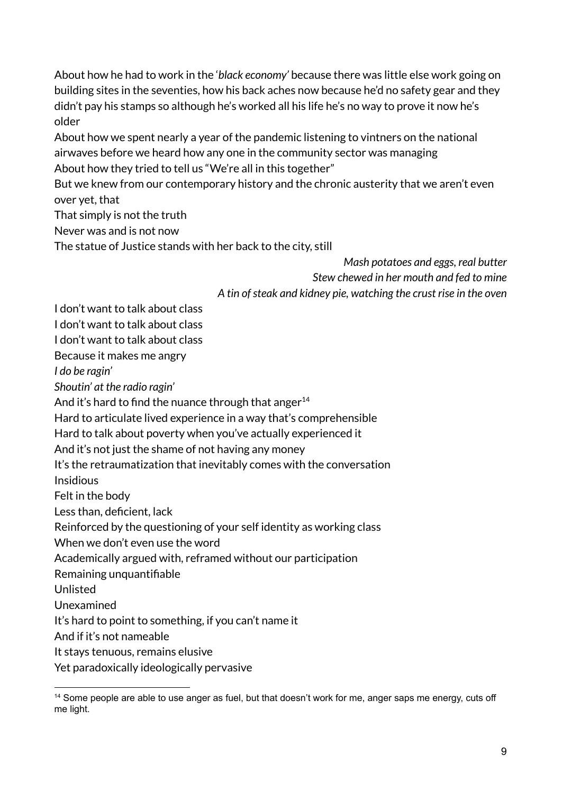About how he had to work in the '*black economy'* because there was little else work going on building sites in the seventies, how his back aches now because he'd no safety gear and they didn't pay his stamps so although he's worked all his life he's no way to prove it now he's older

About how we spent nearly a year of the pandemic listening to vintners on the national airwaves before we heard how any one in the community sector was managing About how they tried to tell us "We're all in this together"

But we knew from our contemporary history and the chronic austerity that we aren't even over yet, that

That simply is not the truth

Never was and is not now

The statue of Justice stands with her back to the city, still

*Mash potatoes and eggs, real butter Stew chewed in her mouth and fed to mine A tin ofsteak and kidney pie, watching the crust rise in the oven*

I don't want to talk about class

I don't want to talk about class

I don't want to talk about class

Because it makes me angry

*I do be ragin'*

*Shoutin' at the radio ragin'*

And it's hard to find the nuance through that anger<sup>14</sup>

Hard to articulate lived experience in a way that's comprehensible

Hard to talk about poverty when you've actually experienced it

And it's not just the shame of not having any money

It's the retraumatization that inevitably comes with the conversation

Insidious

Felt in the body

Less than, deficient, lack

Reinforced by the questioning of your self identity as working class

When we don't even use the word

Academically argued with, reframed without our participation

Remaining unquantifiable

Unlisted

Unexamined

It's hard to point to something, if you can't name it

And if it's not nameable

It stays tenuous, remains elusive

Yet paradoxically ideologically pervasive

<sup>&</sup>lt;sup>14</sup> Some people are able to use anger as fuel, but that doesn't work for me, anger saps me energy, cuts off me light.